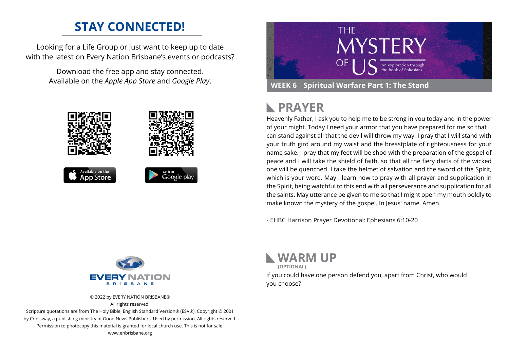### **STAY CONNECTED!**

Looking for a Life Group or just want to keep up to date with the latest on Every Nation Brisbane's events or podcasts?

> Download the free app and stay connected. Available on the *Apple App Store* and *Google Play*.





## **PRAYER**

Heavenly Father, I ask you to help me to be strong in you today and in the power of your might. Today I need your armor that you have prepared for me so that I can stand against all that the devil will throw my way. I pray that I will stand with your truth gird around my waist and the breastplate of righteousness for your name sake. I pray that my feet will be shod with the preparation of the gospel of peace and I will take the shield of faith, so that all the fiery darts of the wicked one will be quenched. I take the helmet of salvation and the sword of the Spirit, which is your word. May I learn how to pray with all prayer and supplication in the Spirit, being watchful to this end with all perseverance and supplication for all the saints. May utterance be given to me so that I might open my mouth boldly to make known the mystery of the gospel. In Jesus' name, Amen.

- EHBC Harrison Prayer Devotional: Ephesians 6:10-20



© 2022 by EVERY NATION BRISBANE® All rights reserved.

Scripture quotations are from The Holy Bible, English Standard Version® (ESV®), Copyright © 2001 by Crossway, a publishing ministry of Good News Publishers. Used by permission. All rights reserved. Permission to photocopy this material is granted for local church use. This is not for sale. www.enbrisbane.org



**(OPTIONAL)**

If you could have one person defend you, apart from Christ, who would you choose?